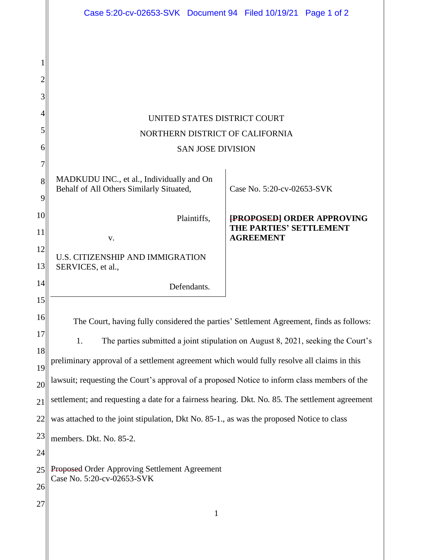|          | Case 5:20-cv-02653-SVK Document 94 Filed 10/19/21 Page 1 of 2                                   |                                                              |
|----------|-------------------------------------------------------------------------------------------------|--------------------------------------------------------------|
|          |                                                                                                 |                                                              |
|          |                                                                                                 |                                                              |
| 2        |                                                                                                 |                                                              |
| 3        |                                                                                                 |                                                              |
| 4        | UNITED STATES DISTRICT COURT                                                                    |                                                              |
| 5        | NORTHERN DISTRICT OF CALIFORNIA                                                                 |                                                              |
| 6        | <b>SAN JOSE DIVISION</b>                                                                        |                                                              |
| 7        |                                                                                                 |                                                              |
| 8        | MADKUDU INC., et al., Individually and On<br>Behalf of All Others Similarly Situated,           | Case No. 5:20-cv-02653-SVK                                   |
| 9        |                                                                                                 |                                                              |
| 10       | Plaintiffs,                                                                                     | <b>[PROPOSED] ORDER APPROVING</b><br>THE PARTIES' SETTLEMENT |
| 11       | V.                                                                                              | <b>AGREEMENT</b>                                             |
| 12<br>13 | U.S. CITIZENSHIP AND IMMIGRATION<br>SERVICES, et al.,                                           |                                                              |
| 14       | Defendants.                                                                                     |                                                              |
| 15       |                                                                                                 |                                                              |
| 16       | The Court, having fully considered the parties' Settlement Agreement, finds as follows:         |                                                              |
| 17       | The parties submitted a joint stipulation on August 8, 2021, seeking the Court's<br>1.          |                                                              |
| 18       | preliminary approval of a settlement agreement which would fully resolve all claims in this     |                                                              |
| 19<br>20 | lawsuit; requesting the Court's approval of a proposed Notice to inform class members of the    |                                                              |
| 21       | settlement; and requesting a date for a fairness hearing. Dkt. No. 85. The settlement agreement |                                                              |
| 22       | was attached to the joint stipulation, Dkt No. 85-1., as was the proposed Notice to class       |                                                              |
| 23       | members. Dkt. No. 85-2.                                                                         |                                                              |
| 24       |                                                                                                 |                                                              |
| 25       | Proposed Order Approving Settlement Agreement                                                   |                                                              |
| 26       | Case No. 5:20-cv-02653-SVK                                                                      |                                                              |
| 27       | $\mathbf{1}$                                                                                    |                                                              |